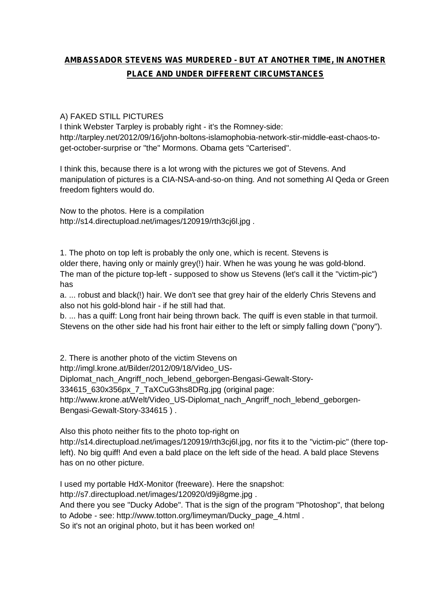# **AMBASSADOR STEVENS WAS MURDERED - BUT AT ANOTHER TIME, IN ANOTHER PLACE AND UNDER DIFFERENT CIRCUMSTANCES**

## A) FAKED STILL PICTURES

I think Webster Tarpley is probably right - it's the Romney-side: [http://tarpley.net/2012/09/16/john-boltons-islamophobia-network-stir-middle-east-chaos-to](http://tarpley.net/2012/09/16/john-boltons-islamophobia-network-stir-middle-east-chaos-to-)get-october-surprise or "the" Mormons. Obama gets "Carterised".

I think this, because there is a lot wrong with the pictures we got of Stevens. And manipulation of pictures is a CIA-NSA-and-so-on thing. And not something Al Qeda or Green freedom fighters would do.

Now to the photos. Here is a compilation <http://s14.directupload.net/images/120919/rth3cj6l.jpg> .

1. The photo on top left is probably the only one, which is recent. Stevens is older there, having only or mainly grey(!) hair. When he was young he was gold-blond. The man of the picture top-left - supposed to show us Stevens (let's call it the "victim-pic") has

a. ... robust and black(!) hair. We don't see that grey hair of the elderly Chris Stevens and also not his gold-blond hair - if he still had that.

b. ... has a quiff: Long front hair being thrown back. The quiff is even stable in that turmoil. Stevens on the other side had his front hair either to the left or simply falling down ("pony").

2. There is another photo of the victim Stevens on

[http://imgl.krone.at/Bilder/2012/09/18/Video\\_US-](http://imgl.krone.at/Bilder/2012/09/18/Video_US-)

Diplomat\_nach\_Angriff\_noch\_lebend\_geborgen-Bengasi-Gewalt-Story-

334615\_630x356px\_7\_TaXCuG3hs8DRg.jpg (original page:

[http://www.krone.at/Welt/Video\\_US-Diplomat\\_nach\\_Angriff\\_noch\\_lebend\\_geborgen-](http://www.krone.at/Welt/Video_US-Diplomat_nach_Angriff_noch_lebend_geborgen-)Bengasi-Gewalt-Story-334615 ) .

Also this photo neither fits to the photo top-right on

<http://s14.directupload.net/images/120919/rth3cj6l.jpg,> nor fits it to the "victim-pic" (there topleft). No big quiff! And even a bald place on the left side of the head. A bald place Stevens has on no other picture.

I used my portable HdX-Monitor (freeware). Here the snapshot:

<http://s7.directupload.net/images/120920/d9ji8gme.jpg> .

And there you see "Ducky Adobe". That is the sign of the program "Photoshop", that belong to Adobe - see: [http://www.totton.org/limeyman/Ducky\\_page\\_4.html](http://www.totton.org/limeyman/Ducky_page_4.html) .

So it's not an original photo, but it has been worked on!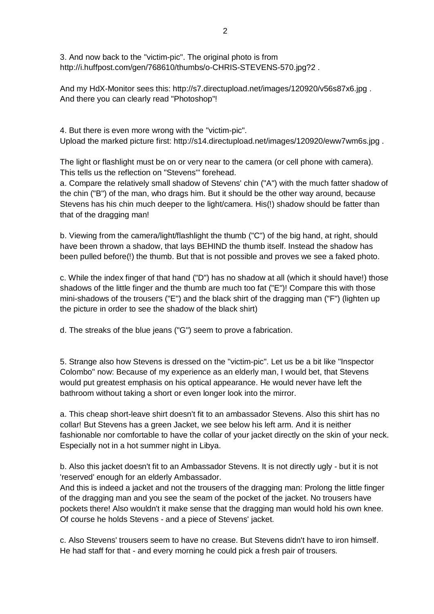3. And now back to the "victim-pic". The original photo is from <http://i.huffpost.com/gen/768610/thumbs/o-CHRIS-STEVENS-570.jpg?2> .

And my HdX-Monitor sees this: <http://s7.directupload.net/images/120920/v56s87x6.jpg> . And there you can clearly read "Photoshop"!

4. But there is even more wrong with the "victim-pic". Upload the marked picture first: <http://s14.directupload.net/images/120920/eww7wm6s.jpg> .

The light or flashlight must be on or very near to the camera (or cell phone with camera). This tells us the reflection on "Stevens'" forehead.

a. Compare the relatively small shadow of Stevens' chin ("A") with the much fatter shadow of the chin ("B") of the man, who drags him. But it should be the other way around, because Stevens has his chin much deeper to the light/camera. His(!) shadow should be fatter than that of the dragging man!

b. Viewing from the camera/light/flashlight the thumb ("C") of the big hand, at right, should have been thrown a shadow, that lays BEHIND the thumb itself. Instead the shadow has been pulled before(!) the thumb. But that is not possible and proves we see a faked photo.

c. While the index finger of that hand ("D") has no shadow at all (which it should have!) those shadows of the little finger and the thumb are much too fat ("E")! Compare this with those mini-shadows of the trousers ("E") and the black shirt of the dragging man ("F") (lighten up the picture in order to see the shadow of the black shirt)

d. The streaks of the blue jeans ("G") seem to prove a fabrication.

5. Strange also how Stevens is dressed on the "victim-pic". Let us be a bit like "Inspector Colombo" now: Because of my experience as an elderly man, I would bet, that Stevens would put greatest emphasis on his optical appearance. He would never have left the bathroom without taking a short or even longer look into the mirror.

a. This cheap short-leave shirt doesn't fit to an ambassador Stevens. Also this shirt has no collar! But Stevens has a green Jacket, we see below his left arm. And it is neither fashionable nor comfortable to have the collar of your jacket directly on the skin of your neck. Especially not in a hot summer night in Libya.

b. Also this jacket doesn't fit to an Ambassador Stevens. It is not directly ugly - but it is not 'reserved' enough for an elderly Ambassador.

And this is indeed a jacket and not the trousers of the dragging man: Prolong the little finger of the dragging man and you see the seam of the pocket of the jacket. No trousers have pockets there! Also wouldn't it make sense that the dragging man would hold his own knee. Of course he holds Stevens - and a piece of Stevens' jacket.

c. Also Stevens' trousers seem to have no crease. But Stevens didn't have to iron himself. He had staff for that - and every morning he could pick a fresh pair of trousers.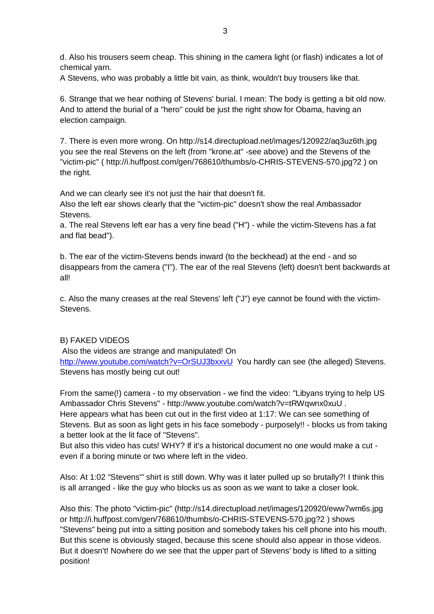d. Also his trousers seem cheap. This shining in the camera light (or flash) indicates a lot of chemical yarn.

A Stevens, who was probably a little bit vain, as think, wouldn't buy trousers like that.

6. Strange that we hear nothing of Stevens' burial. I mean: The body is getting a bit old now. And to attend the burial of a "hero" could be just the right show for Obama, having an election campaign.

7. There is even more wrong. On <http://s14.directupload.net/images/120922/aq3uz6th.jpg> you see the real Stevens on the left (from "krone.at" -see above) and the Stevens of the "victim-pic" ( <http://i.huffpost.com/gen/768610/thumbs/o-CHRIS-STEVENS-570.jpg?2> ) on the right.

And we can clearly see it's not just the hair that doesn't fit.

Also the left ear shows clearly that the "victim-pic" doesn't show the real Ambassador Stevens.

a. The real Stevens left ear has a very fine bead ("H") - while the victim-Stevens has a fat and flat bead").

b. The ear of the victim-Stevens bends inward (to the beckhead) at the end - and so disappears from the camera ("I"). The ear of the real Stevens (left) doesn't bent backwards at all!

c. Also the many creases at the real Stevens' left ("J") eye cannot be found with the victim-**Stevens** 

# B) FAKED VIDEOS

Also the videos are strange and manipulated! On

<http://www.youtube.com/watch?v=OrSUJ3bxxvU> You hardly can see (the alleged) Stevens. Stevens has mostly being cut out!

From the same(!) camera - to my observation - we find the video: "Libyans trying to help US Ambassador Chris Stevens" - <http://www.youtube.com/watch?v=tRWqwnx0xuU> . Here appears what has been cut out in the first video at 1:17: We can see something of Stevens. But as soon as light gets in his face somebody - purposely!! - blocks us from taking a better look at the lit face of "Stevens".

But also this video has cuts! WHY? If it's a historical document no one would make a cut even if a boring minute or two where left in the video.

Also: At 1:02 "Stevens'" shirt is still down. Why was it later pulled up so brutally?! I think this is all arranged - like the guy who blocks us as soon as we want to take a closer look.

Also this: The photo "victim-pic" [\(http://s14.directupload.net/images/120920/eww7wm6s.jpg](http://s14.directupload.net/images/120920/eww7wm6s.jpg) or <http://i.huffpost.com/gen/768610/thumbs/o-CHRIS-STEVENS-570.jpg?2> ) shows "Stevens" being put into a sitting position and somebody takes his cell phone into his mouth. But this scene is obviously staged, because this scene should also appear in those videos. But it doesn't! Nowhere do we see that the upper part of Stevens' body is lifted to a sitting position!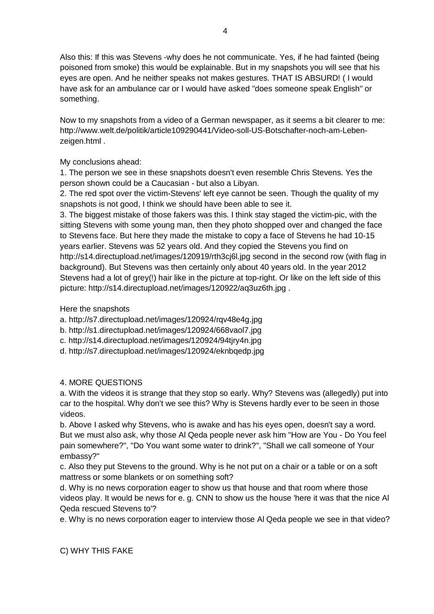Also this: If this was Stevens -why does he not communicate. Yes, if he had fainted (being poisoned from smoke) this would be explainable. But in my snapshots you will see that his eyes are open. And he neither speaks not makes gestures. THAT IS ABSURD! ( I would have ask for an ambulance car or I would have asked "does someone speak English" or something.

Now to my snapshots from a video of a German newspaper, as it seems a bit clearer to me: [http://www.welt.de/politik/article109290441/Video-soll-US-Botschafter-noch-am-Leben](http://www.welt.de/politik/article109290441/Video-soll-US-Botschafter-noch-am-Leben-)zeigen.html .

# My conclusions ahead:

1. The person we see in these snapshots doesn't even resemble Chris Stevens. Yes the person shown could be a Caucasian - but also a Libyan.

2. The red spot over the victim-Stevens' left eye cannot be seen. Though the quality of my snapshots is not good, I think we should have been able to see it.

3. The biggest mistake of those fakers was this. I think stay staged the victim-pic, with the sitting Stevens with some young man, then they photo shopped over and changed the face to Stevens face. But here they made the mistake to copy a face of Stevens he had 10-15 years earlier. Stevens was 52 years old. And they copied the Stevens you find on <http://s14.directupload.net/images/120919/rth3cj6l.jpg> second in the second row (with flag in background). But Stevens was then certainly only about 40 years old. In the year 2012 Stevens had a lot of grey(!) hair like in the picture at top-right. Or like on the left side of this picture: <http://s14.directupload.net/images/120922/aq3uz6th.jpg> .

#### Here the snapshots

- a. <http://s7.directupload.net/images/120924/rqv48e4g.jpg>
- b. <http://s1.directupload.net/images/120924/668vaol7.jpg>
- c. <http://s14.directupload.net/images/120924/94tjry4n.jpg>
- d. <http://s7.directupload.net/images/120924/eknbqedp.jpg>

# 4. MORE QUESTIONS

a. With the videos it is strange that they stop so early. Why? Stevens was (allegedly) put into car to the hospital. Why don't we see this? Why is Stevens hardly ever to be seen in those videos.

b. Above I asked why Stevens, who is awake and has his eyes open, doesn't say a word. But we must also ask, why those Al Qeda people never ask him "How are You - Do You feel pain somewhere?", "Do You want some water to drink?", "Shall we call someone of Your embassy?"

c. Also they put Stevens to the ground. Why is he not put on a chair or a table or on a soft mattress or some blankets or on something soft?

d. Why is no news corporation eager to show us that house and that room where those videos play. It would be news for e. g. CNN to show us the house 'here it was that the nice Al Qeda rescued Stevens to'?

e. Why is no news corporation eager to interview those Al Qeda people we see in that video?

C) WHY THIS FAKE